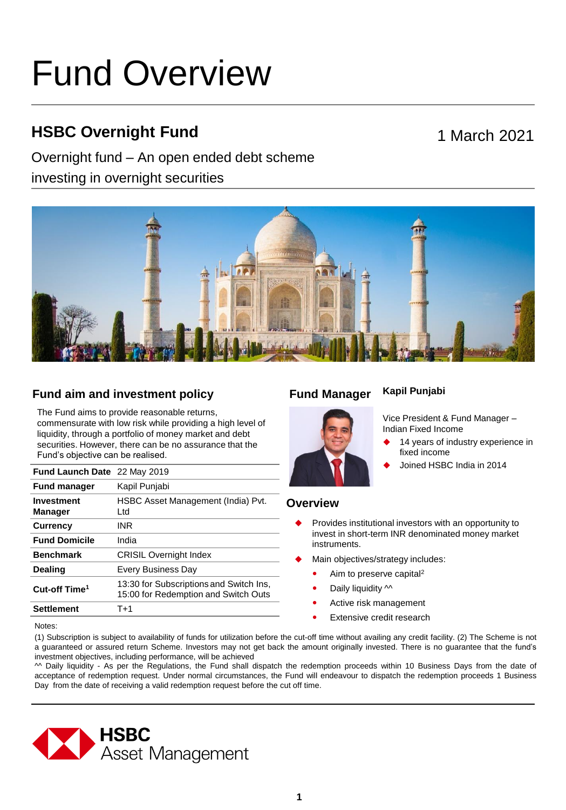# Fund Overview

### **HSBC Overnight Fund**

#### Overnight fund – An open ended debt scheme

investing in overnight securities

#### 1 March 2021



#### **Fund aim and investment policy Fund Manager**

The Fund aims to provide reasonable returns, commensurate with low risk while providing a high level of liquidity, through a portfolio of money market and debt securities. However, there can be no assurance that the Fund's objective can be realised.

| Fund Launch Date 22 May 2019 |                                                                                 |
|------------------------------|---------------------------------------------------------------------------------|
| <b>Fund manager</b>          | Kapil Punjabi                                                                   |
| Investment<br><b>Manager</b> | HSBC Asset Management (India) Pvt.<br>Ltd                                       |
| <b>Currency</b>              | INR.                                                                            |
| <b>Fund Domicile</b>         | India                                                                           |
| <b>Benchmark</b>             | <b>CRISIL Overnight Index</b>                                                   |
| <b>Dealing</b>               | Every Business Day                                                              |
| Cut-off Time <sup>1</sup>    | 13:30 for Subscriptions and Switch Ins,<br>15:00 for Redemption and Switch Outs |
| <b>Settlement</b>            | T+1                                                                             |

#### **Kapil Punjabi**



Vice President & Fund Manager – Indian Fixed Income

- 14 years of industry experience in fixed income
- Joined HSBC India in 2014

#### **Overview**

- Provides institutional investors with an opportunity to invest in short-term INR denominated money market instruments.
- Main objectives/strategy includes:
	- Aim to preserve capital<sup>2</sup>
	- Daily liquidity  $\sim$
	- Active risk management
	- **•** Extensive credit research

Notes:

(1) Subscription is subject to availability of funds for utilization before the cut-off time without availing any credit facility. (2) The Scheme is not a guaranteed or assured return Scheme. Investors may not get back the amount originally invested. There is no guarantee that the fund's investment objectives, including performance, will be achieved

^^ Daily liquidity - As per the Regulations, the Fund shall dispatch the redemption proceeds within 10 Business Days from the date of acceptance of redemption request. Under normal circumstances, the Fund will endeavour to dispatch the redemption proceeds 1 Business Day from the date of receiving a valid redemption request before the cut off time.

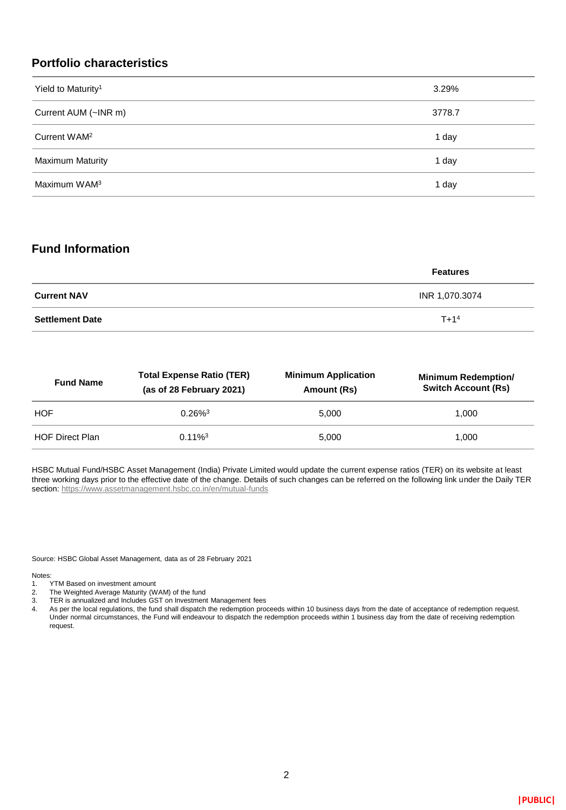#### **Portfolio characteristics**

| Yield to Maturity <sup>1</sup> | 3.29%  |
|--------------------------------|--------|
| Current AUM (~INR m)           | 3778.7 |
| Current WAM <sup>2</sup>       | 1 day  |
| <b>Maximum Maturity</b>        | 1 day  |
| Maximum WAM <sup>3</sup>       | 1 day  |

#### **Fund Information**

|                        | <b>Features</b> |
|------------------------|-----------------|
| <b>Current NAV</b>     | INR 1,070.3074  |
| <b>Settlement Date</b> | $T + 14$        |

| <b>Fund Name</b>       | <b>Total Expense Ratio (TER)</b><br>(as of 28 February 2021) | <b>Minimum Application</b><br>Amount (Rs) | <b>Minimum Redemption/</b><br><b>Switch Account (Rs)</b> |
|------------------------|--------------------------------------------------------------|-------------------------------------------|----------------------------------------------------------|
| <b>HOF</b>             | $0.26\%$ <sup>3</sup>                                        | 5.000                                     | 1.000                                                    |
| <b>HOF Direct Plan</b> | $0.11\%$ <sup>3</sup>                                        | 5.000                                     | 1.000                                                    |

HSBC Mutual Fund/HSBC Asset Management (India) Private Limited would update the current expense ratios (TER) on its website at least three working days prior to the effective date of the change. Details of such changes can be referred on the following link under the Daily TER section:<https://www.assetmanagement.hsbc.co.in/en/mutual-funds>

Source: HSBC Global Asset Management, data as of 28 February 2021

Notes:<br>1.

- TYTM Based on investment amount
- 2. The Weighted Average Maturity (WAM) of the fund
- 3. TER is annualized and Includes GST on Investment Management fees
- 4. As per the local regulations, the fund shall dispatch the redemption proceeds within 10 business days from the date of acceptance of redemption request. Under normal circumstances, the Fund will endeavour to dispatch the redemption proceeds within 1 business day from the date of receiving redemption request.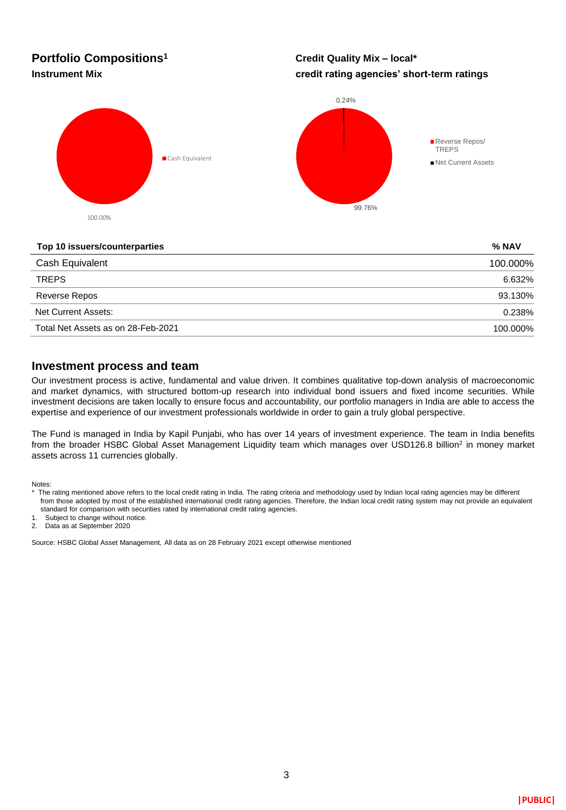## **Portfolio Compositions<sup>1</sup>**

#### **Credit Quality Mix – local\* Instrument Mix credit rating agencies' short-term ratings**



#### **Top 10 issuers/counterparties % NAV**

| Cash Equivalent                    | 100.000% |
|------------------------------------|----------|
| <b>TREPS</b>                       | 6.632%   |
| Reverse Repos                      | 93.130%  |
| Net Current Assets:                | 0.238%   |
| Total Net Assets as on 28-Feb-2021 | 100.000% |

#### **Investment process and team**

Our investment process is active, fundamental and value driven. It combines qualitative top-down analysis of macroeconomic and market dynamics, with structured bottom-up research into individual bond issuers and fixed income securities. While investment decisions are taken locally to ensure focus and accountability, our portfolio managers in India are able to access the expertise and experience of our investment professionals worldwide in order to gain a truly global perspective.

The Fund is managed in India by Kapil Punjabi, who has over 14 years of investment experience. The team in India benefits from the broader HSBC Global Asset Management Liquidity team which manages over USD126.8 billion<sup>2</sup> in money market assets across 11 currencies globally.

Notes:

1. Subject to change without notice.

2. Data as at September 2020

Source: HSBC Global Asset Management, All data as on 28 February 2021 except otherwise mentioned

The rating mentioned above refers to the local credit rating in India. The rating criteria and methodology used by Indian local rating agencies may be different from those adopted by most of the established international credit rating agencies. Therefore, the Indian local credit rating system may not provide an equivalent standard for comparison with securities rated by international credit rating agencies.